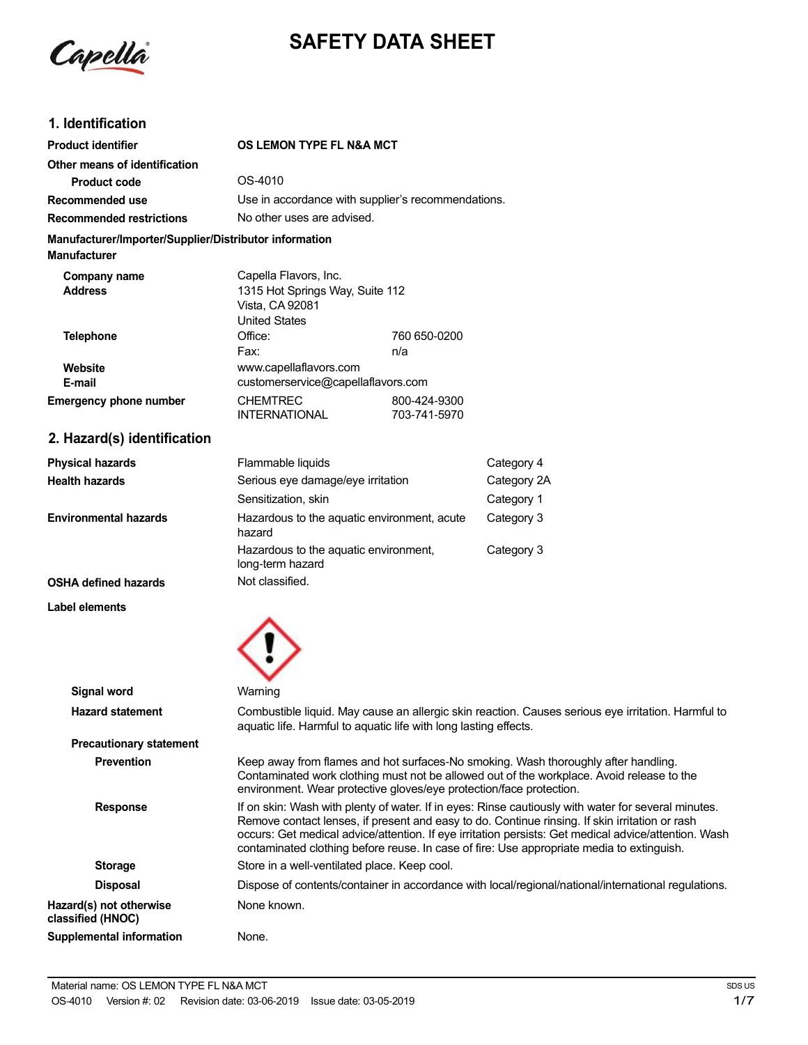

# **SAFETY DATA SHEET**

# **1. Identification**

| <b>Product identifier</b>                                                     | OS LEMON TYPE FL N&A MCT                                                                            |                                                    |
|-------------------------------------------------------------------------------|-----------------------------------------------------------------------------------------------------|----------------------------------------------------|
| Other means of identification                                                 |                                                                                                     |                                                    |
| <b>Product code</b>                                                           | OS-4010                                                                                             |                                                    |
| Recommended use                                                               |                                                                                                     | Use in accordance with supplier's recommendations. |
| <b>Recommended restrictions</b>                                               | No other uses are advised.                                                                          |                                                    |
| Manufacturer/Importer/Supplier/Distributor information<br><b>Manufacturer</b> |                                                                                                     |                                                    |
| Company name<br><b>Address</b>                                                | Capella Flavors, Inc.<br>1315 Hot Springs Way, Suite 112<br>Vista, CA 92081<br><b>United States</b> |                                                    |
| <b>Telephone</b>                                                              | Office:<br>Fax:                                                                                     | 760 650-0200<br>n/a                                |
| Website<br>E-mail                                                             | www.capellaflavors.com<br>customerservice@capellaflavors.com                                        |                                                    |
| <b>Emergency phone number</b>                                                 | <b>CHEMTREC</b><br><b>INTERNATIONAL</b>                                                             | 800-424-9300<br>703-741-5970                       |
| 2. Hazard(s) identification                                                   |                                                                                                     |                                                    |

**Physical hazards Health hazards Environmental hazards OSHA defined hazards** Flammable liquids Serious eye damage/eye irritation Sensitization, skin Hazardous to the aquatic environment, acute hazard Hazardous to the aquatic environment, long-term hazard Not classified. Category 4 Category 2A Category 1 Category 3 Category 3

╱

**Label elements**

| <b>Signal word</b>                           | Warning                                                                                                                                                                                                                                                                                                                                                                                                    |
|----------------------------------------------|------------------------------------------------------------------------------------------------------------------------------------------------------------------------------------------------------------------------------------------------------------------------------------------------------------------------------------------------------------------------------------------------------------|
| <b>Hazard statement</b>                      | Combustible liquid. May cause an allergic skin reaction. Causes serious eye irritation. Harmful to<br>aquatic life. Harmful to aquatic life with long lasting effects.                                                                                                                                                                                                                                     |
| <b>Precautionary statement</b>               |                                                                                                                                                                                                                                                                                                                                                                                                            |
| <b>Prevention</b>                            | Keep away from flames and hot surfaces-No smoking. Wash thoroughly after handling.<br>Contaminated work clothing must not be allowed out of the workplace. Avoid release to the<br>environment. Wear protective gloves/eye protection/face protection.                                                                                                                                                     |
| <b>Response</b>                              | If on skin: Wash with plenty of water. If in eyes: Rinse cautiously with water for several minutes.<br>Remove contact lenses, if present and easy to do. Continue rinsing. If skin irritation or rash<br>occurs: Get medical advice/attention. If eye irritation persists: Get medical advice/attention. Wash<br>contaminated clothing before reuse. In case of fire: Use appropriate media to extinguish. |
| <b>Storage</b>                               | Store in a well-ventilated place. Keep cool.                                                                                                                                                                                                                                                                                                                                                               |
| <b>Disposal</b>                              | Dispose of contents/container in accordance with local/regional/national/international regulations.                                                                                                                                                                                                                                                                                                        |
| Hazard(s) not otherwise<br>classified (HNOC) | None known.                                                                                                                                                                                                                                                                                                                                                                                                |
| <b>Supplemental information</b>              | None.                                                                                                                                                                                                                                                                                                                                                                                                      |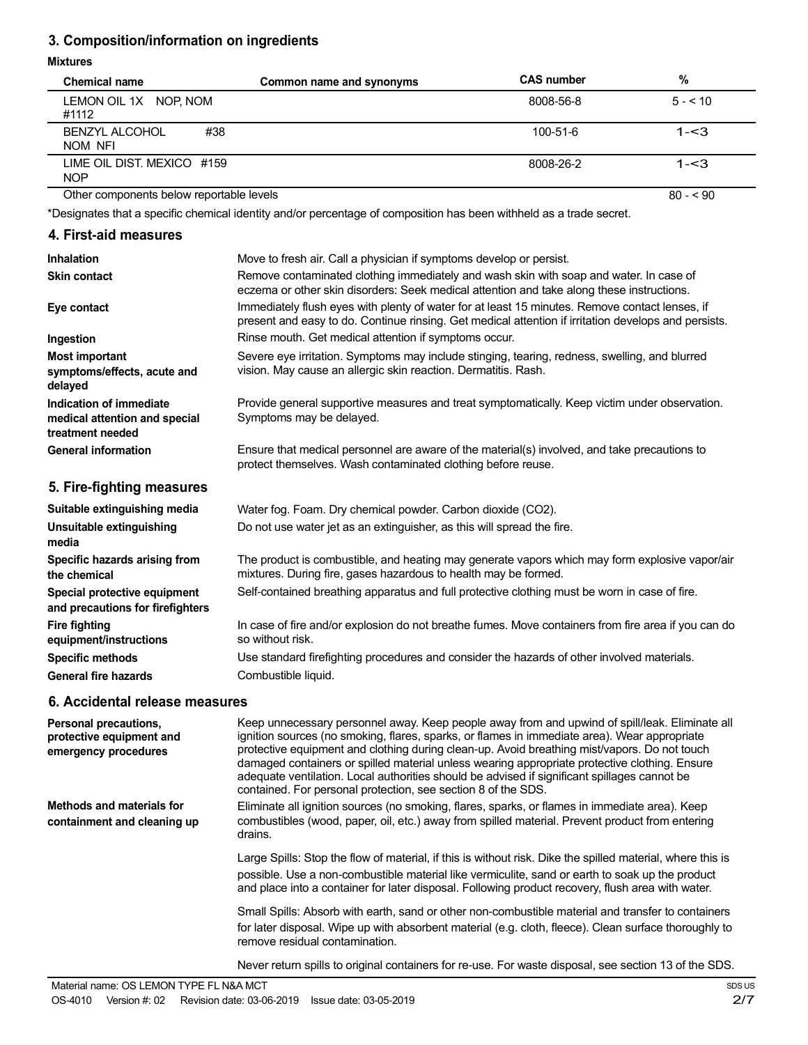# **3. Composition/information on ingredients**

#### **Mixtures**

| <b>Chemical name</b>                     | Common name and synonyms | <b>CAS number</b> | %         |
|------------------------------------------|--------------------------|-------------------|-----------|
| LEMON OIL 1X NOP, NOM<br>#1112           |                          | 8008-56-8         | $5 - 510$ |
| <b>BENZYL ALCOHOL</b><br>#38<br>NOM NFI  |                          | $100 - 51 - 6$    | $1 - 3$   |
| LIME OIL DIST. MEXICO #159<br><b>NOP</b> |                          | 8008-26-2         | $1 - 3$   |
| Other components below reportable levels |                          |                   | $80 - 90$ |

Other components below reportable levels

\*Designates that a specific chemical identity and/or percentage of composition has been withheld as a trade secret.

# **4. First-aid measures**

| Inhalation                                                                   | Move to fresh air. Call a physician if symptoms develop or persist.                                                                                                                                    |
|------------------------------------------------------------------------------|--------------------------------------------------------------------------------------------------------------------------------------------------------------------------------------------------------|
| <b>Skin contact</b>                                                          | Remove contaminated clothing immediately and wash skin with soap and water. In case of<br>eczema or other skin disorders: Seek medical attention and take along these instructions.                    |
| Eye contact                                                                  | Immediately flush eyes with plenty of water for at least 15 minutes. Remove contact lenses, if<br>present and easy to do. Continue rinsing. Get medical attention if irritation develops and persists. |
| Ingestion                                                                    | Rinse mouth. Get medical attention if symptoms occur.                                                                                                                                                  |
| <b>Most important</b><br>symptoms/effects, acute and<br>delayed              | Severe eye irritation. Symptoms may include stinging, tearing, redness, swelling, and blurred<br>vision. May cause an allergic skin reaction. Dermatitis. Rash.                                        |
| Indication of immediate<br>medical attention and special<br>treatment needed | Provide general supportive measures and treat symptomatically. Keep victim under observation.<br>Symptoms may be delayed.                                                                              |
| <b>General information</b>                                                   | Ensure that medical personnel are aware of the material(s) involved, and take precautions to<br>protect themselves. Wash contaminated clothing before reuse.                                           |
| 5. Fire-fighting measures                                                    |                                                                                                                                                                                                        |
| Suitable extinguishing media                                                 | Water fog. Foam. Dry chemical powder. Carbon dioxide (CO2).                                                                                                                                            |
| Unsuitable extinguishing<br>media                                            | Do not use water jet as an extinguisher, as this will spread the fire.                                                                                                                                 |
| Specific hazards arising from<br>the chemical                                | The product is combustible, and heating may generate vapors which may form explosive vapor/air<br>mixtures. During fire, gases hazardous to health may be formed.                                      |
| Special protective equipment<br>and precautions for firefighters             | Self-contained breathing apparatus and full protective clothing must be worn in case of fire.                                                                                                          |
| <b>Fire fighting</b><br>equipment/instructions                               | In case of fire and/or explosion do not breathe fumes. Move containers from fire area if you can do<br>so without risk.                                                                                |
| <b>Specific methods</b><br><b>General fire hazards</b>                       | Use standard firefighting procedures and consider the hazards of other involved materials.<br>Combustible liquid.                                                                                      |
|                                                                              |                                                                                                                                                                                                        |

### **6. Accidental release measures**

| Personal precautions,<br>protective equipment and<br>emergency procedures | Keep unnecessary personnel away. Keep people away from and upwind of spill/leak. Eliminate all<br>ignition sources (no smoking, flares, sparks, or flames in immediate area). Wear appropriate<br>protective equipment and clothing during clean-up. Avoid breathing mist/vapors. Do not touch<br>damaged containers or spilled material unless wearing appropriate protective clothing. Ensure<br>adequate ventilation. Local authorities should be advised if significant spillages cannot be<br>contained. For personal protection, see section 8 of the SDS. |
|---------------------------------------------------------------------------|------------------------------------------------------------------------------------------------------------------------------------------------------------------------------------------------------------------------------------------------------------------------------------------------------------------------------------------------------------------------------------------------------------------------------------------------------------------------------------------------------------------------------------------------------------------|
| <b>Methods and materials for</b><br>containment and cleaning up           | Eliminate all ignition sources (no smoking, flares, sparks, or flames in immediate area). Keep<br>combustibles (wood, paper, oil, etc.) away from spilled material. Prevent product from entering<br>drains.                                                                                                                                                                                                                                                                                                                                                     |
|                                                                           | Large Spills: Stop the flow of material, if this is without risk. Dike the spilled material, where this is<br>possible. Use a non-combustible material like vermiculite, sand or earth to soak up the product<br>and place into a container for later disposal. Following product recovery, flush area with water.                                                                                                                                                                                                                                               |
|                                                                           | Small Spills: Absorb with earth, sand or other non-combustible material and transfer to containers<br>for later disposal. Wipe up with absorbent material (e.g. cloth, fleece). Clean surface thoroughly to<br>remove residual contamination.                                                                                                                                                                                                                                                                                                                    |

Never return spills to original containers for re-use. For waste disposal, see section 13 of the SDS.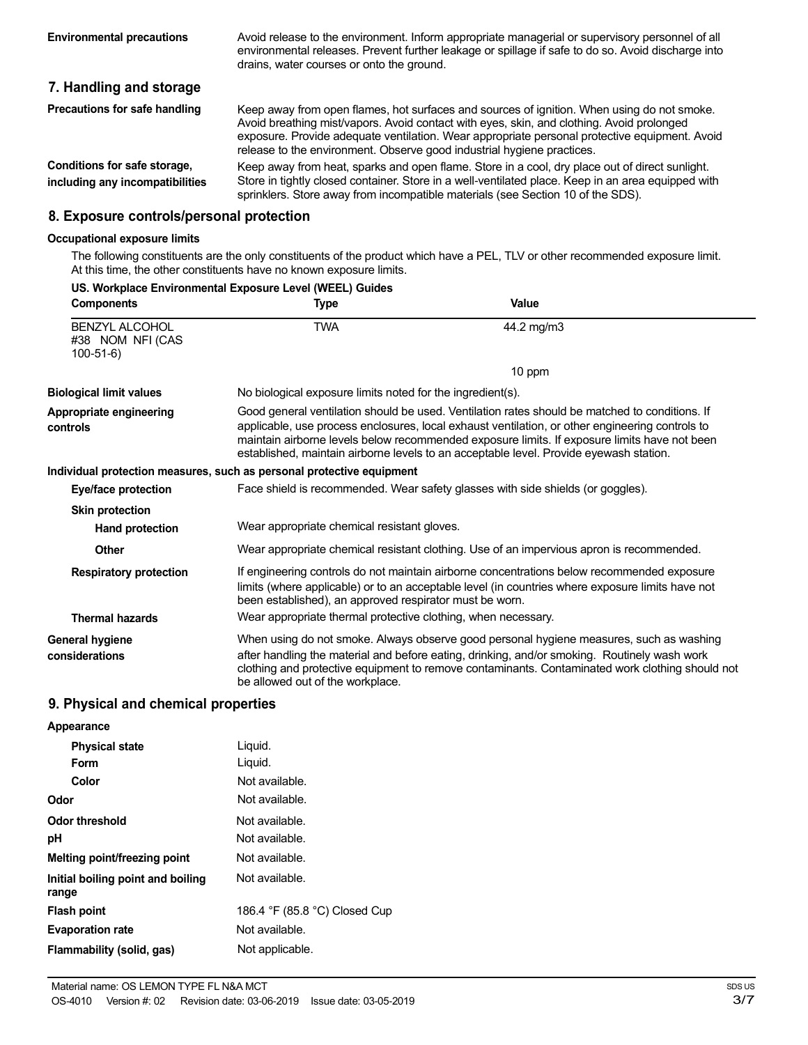Avoid release to the environment. Inform appropriate managerial or supervisory personnel of all environmental releases. Prevent further leakage or spillage if safe to do so. Avoid discharge into drains, water courses or onto the ground.

# **7. Handling and storage**

| Precautions for safe handling                                                                                                                                                                                                          | Keep away from open flames, hot surfaces and sources of ignition. When using do not smoke.<br>Avoid breathing mist/vapors. Avoid contact with eyes, skin, and clothing. Avoid prolonged<br>exposure. Provide adequate ventilation. Wear appropriate personal protective equipment. Avoid<br>release to the environment. Observe good industrial hygiene practices. |
|----------------------------------------------------------------------------------------------------------------------------------------------------------------------------------------------------------------------------------------|--------------------------------------------------------------------------------------------------------------------------------------------------------------------------------------------------------------------------------------------------------------------------------------------------------------------------------------------------------------------|
| Conditions for safe storage,<br>including any incompatibilities                                                                                                                                                                        | Keep away from heat, sparks and open flame. Store in a cool, dry place out of direct sunlight.<br>Store in tightly closed container. Store in a well-ventilated place. Keep in an area equipped with<br>sprinklers. Store away from incompatible materials (see Section 10 of the SDS).                                                                            |
| $\bullet$ $\bullet$ . The second control of the second control of the second control of the second control of the second control of the second control of the second control of the second control of the second control of the second |                                                                                                                                                                                                                                                                                                                                                                    |

### **8. Exposure controls/personal protection**

#### **Occupational exposure limits**

The following constituents are the only constituents of the product which have a PEL, TLV or other recommended exposure limit. At this time, the other constituents have no known exposure limits.

| US. Workplace Environmental Exposure Level (WEEL) Guides |                                                                                          |                                                                                                                                                                                                                                                                                                                                                                                             |  |
|----------------------------------------------------------|------------------------------------------------------------------------------------------|---------------------------------------------------------------------------------------------------------------------------------------------------------------------------------------------------------------------------------------------------------------------------------------------------------------------------------------------------------------------------------------------|--|
| <b>Components</b>                                        | <b>Type</b>                                                                              | Value                                                                                                                                                                                                                                                                                                                                                                                       |  |
| <b>BENZYL ALCOHOL</b><br>#38 NOM NFI (CAS<br>$100-51-6$  | <b>TWA</b>                                                                               | 44.2 mg/m3                                                                                                                                                                                                                                                                                                                                                                                  |  |
|                                                          |                                                                                          | 10 ppm                                                                                                                                                                                                                                                                                                                                                                                      |  |
| <b>Biological limit values</b>                           | No biological exposure limits noted for the ingredient(s).                               |                                                                                                                                                                                                                                                                                                                                                                                             |  |
| Appropriate engineering<br>controls                      |                                                                                          | Good general ventilation should be used. Ventilation rates should be matched to conditions. If<br>applicable, use process enclosures, local exhaust ventilation, or other engineering controls to<br>maintain airborne levels below recommended exposure limits. If exposure limits have not been<br>established, maintain airborne levels to an acceptable level. Provide eyewash station. |  |
|                                                          | Individual protection measures, such as personal protective equipment                    |                                                                                                                                                                                                                                                                                                                                                                                             |  |
| Eye/face protection                                      | Face shield is recommended. Wear safety glasses with side shields (or goggles).          |                                                                                                                                                                                                                                                                                                                                                                                             |  |
| <b>Skin protection</b>                                   |                                                                                          |                                                                                                                                                                                                                                                                                                                                                                                             |  |
| Hand protection                                          | Wear appropriate chemical resistant gloves.                                              |                                                                                                                                                                                                                                                                                                                                                                                             |  |
| <b>Other</b>                                             | Wear appropriate chemical resistant clothing. Use of an impervious apron is recommended. |                                                                                                                                                                                                                                                                                                                                                                                             |  |
| <b>Respiratory protection</b>                            | been established), an approved respirator must be worn.                                  | If engineering controls do not maintain airborne concentrations below recommended exposure<br>limits (where applicable) or to an acceptable level (in countries where exposure limits have not                                                                                                                                                                                              |  |
| <b>Thermal hazards</b>                                   | Wear appropriate thermal protective clothing, when necessary.                            |                                                                                                                                                                                                                                                                                                                                                                                             |  |
| General hygiene<br>considerations                        | be allowed out of the workplace.                                                         | When using do not smoke. Always observe good personal hygiene measures, such as washing<br>after handling the material and before eating, drinking, and/or smoking. Routinely wash work<br>clothing and protective equipment to remove contaminants. Contaminated work clothing should not                                                                                                  |  |

# **9. Physical and chemical properties**

| Appearance                                 |                               |
|--------------------------------------------|-------------------------------|
| <b>Physical state</b>                      | Liquid.                       |
| Form                                       | Liquid.                       |
| Color                                      | Not available.                |
| Odor                                       | Not available.                |
| Odor threshold                             | Not available.                |
| рH                                         | Not available.                |
| Melting point/freezing point               | Not available.                |
| Initial boiling point and boiling<br>range | Not available.                |
| <b>Flash point</b>                         | 186.4 °F (85.8 °C) Closed Cup |
| <b>Evaporation rate</b>                    | Not available.                |
| Flammability (solid, gas)                  | Not applicable.               |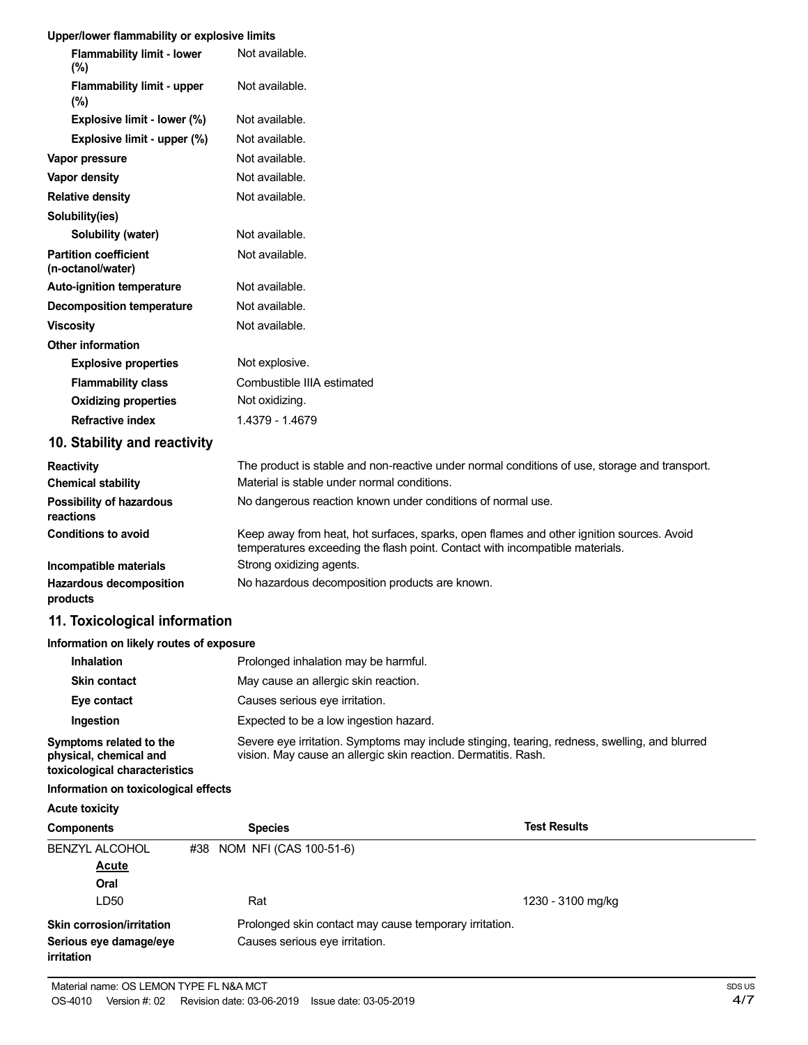#### **Upper/lower flammability or explosive limits**

| <b>Flammability limit - lower</b><br>$(\%)$       | Not available.                                                                                                                                                           |
|---------------------------------------------------|--------------------------------------------------------------------------------------------------------------------------------------------------------------------------|
| <b>Flammability limit - upper</b><br>(%)          | Not available.                                                                                                                                                           |
| Explosive limit - lower (%)                       | Not available.                                                                                                                                                           |
| Explosive limit - upper (%)                       | Not available.                                                                                                                                                           |
| Vapor pressure                                    | Not available.                                                                                                                                                           |
| <b>Vapor density</b>                              | Not available.                                                                                                                                                           |
| <b>Relative density</b>                           | Not available.                                                                                                                                                           |
| Solubility(ies)                                   |                                                                                                                                                                          |
| Solubility (water)                                | Not available.                                                                                                                                                           |
| <b>Partition coefficient</b><br>(n-octanol/water) | Not available.                                                                                                                                                           |
| <b>Auto-ignition temperature</b>                  | Not available.                                                                                                                                                           |
| <b>Decomposition temperature</b>                  | Not available.                                                                                                                                                           |
| <b>Viscosity</b>                                  | Not available.                                                                                                                                                           |
| <b>Other information</b>                          |                                                                                                                                                                          |
| <b>Explosive properties</b>                       | Not explosive.                                                                                                                                                           |
| <b>Flammability class</b>                         | Combustible IIIA estimated                                                                                                                                               |
| <b>Oxidizing properties</b>                       | Not oxidizing.                                                                                                                                                           |
| <b>Refractive index</b>                           | 1.4379 - 1.4679                                                                                                                                                          |
| 10. Stability and reactivity                      |                                                                                                                                                                          |
| <b>Reactivity</b>                                 | The product is stable and non-reactive under normal conditions of use, storage and transport.                                                                            |
| <b>Chemical stability</b>                         | Material is stable under normal conditions.                                                                                                                              |
| <b>Possibility of hazardous</b><br>reactions      | No dangerous reaction known under conditions of normal use.                                                                                                              |
| <b>Conditions to avoid</b>                        | Keep away from heat, hot surfaces, sparks, open flames and other ignition sources. Avoid<br>temperatures exceeding the flash point. Contact with incompatible materials. |
| Incompatible materials                            | Strong oxidizing agents.                                                                                                                                                 |
| Hazardous decomposition<br>products               | No hazardous decomposition products are known.                                                                                                                           |
| 11. Toxicological information                     |                                                                                                                                                                          |

#### **Information on likely routes of exposure**

| Inhalation                                                                         | Prolonged inhalation may be harmful.                                                                                                                            |
|------------------------------------------------------------------------------------|-----------------------------------------------------------------------------------------------------------------------------------------------------------------|
| <b>Skin contact</b>                                                                | May cause an allergic skin reaction.                                                                                                                            |
| Eye contact                                                                        | Causes serious eye irritation.                                                                                                                                  |
| Ingestion                                                                          | Expected to be a low ingestion hazard.                                                                                                                          |
| Symptoms related to the<br>physical, chemical and<br>toxicological characteristics | Severe eye irritation. Symptoms may include stinging, tearing, redness, swelling, and blurred<br>vision. May cause an allergic skin reaction. Dermatitis. Rash. |

### **Information on toxicological effects**

**Acute toxicity**

| <b>Components</b>                    | <b>Species</b>                                         | <b>Test Results</b> |
|--------------------------------------|--------------------------------------------------------|---------------------|
| <b>BENZYL ALCOHOL</b>                | #38 NOM NFI (CAS 100-51-6)                             |                     |
| <b>Acute</b>                         |                                                        |                     |
| Oral                                 |                                                        |                     |
| LD50                                 | Rat                                                    | 1230 - 3100 mg/kg   |
| <b>Skin corrosion/irritation</b>     | Prolonged skin contact may cause temporary irritation. |                     |
| Serious eye damage/eye<br>irritation | Causes serious eye irritation.                         |                     |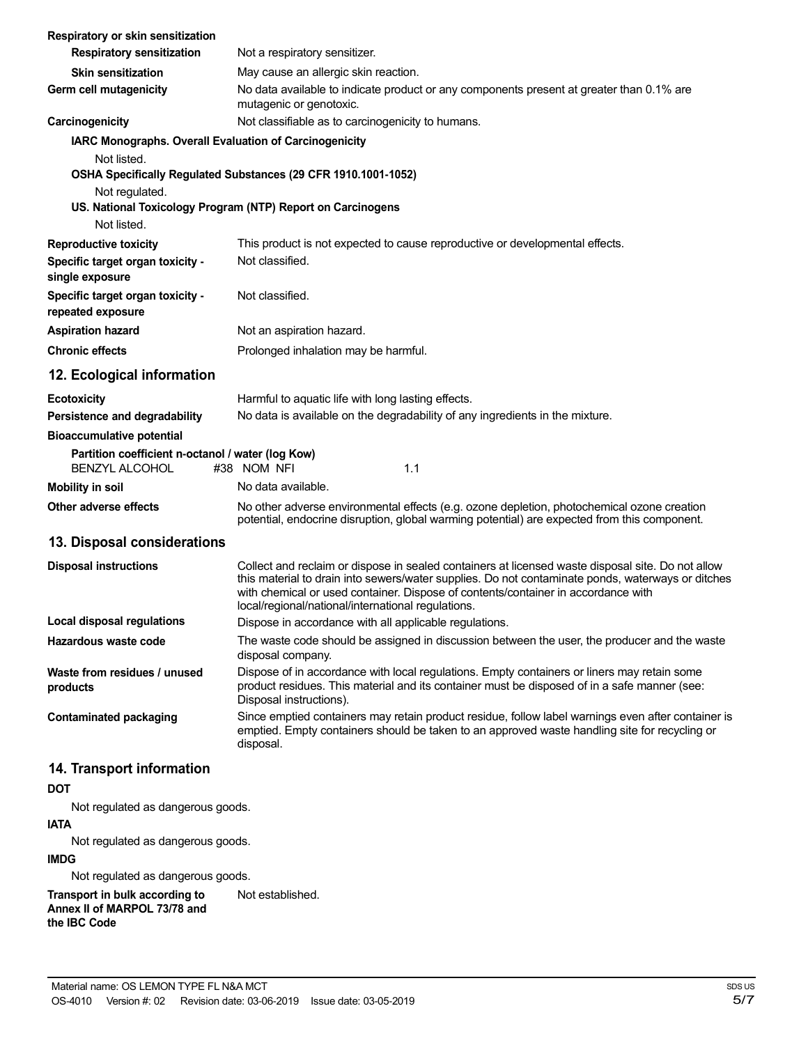| Respiratory or skin sensitization                                          |                                                                                                                                                                                                                                                                                                                                                   |
|----------------------------------------------------------------------------|---------------------------------------------------------------------------------------------------------------------------------------------------------------------------------------------------------------------------------------------------------------------------------------------------------------------------------------------------|
| <b>Respiratory sensitization</b>                                           | Not a respiratory sensitizer.                                                                                                                                                                                                                                                                                                                     |
| <b>Skin sensitization</b>                                                  | May cause an allergic skin reaction.                                                                                                                                                                                                                                                                                                              |
| Germ cell mutagenicity                                                     | No data available to indicate product or any components present at greater than 0.1% are<br>mutagenic or genotoxic.                                                                                                                                                                                                                               |
| Carcinogenicity                                                            | Not classifiable as to carcinogenicity to humans.                                                                                                                                                                                                                                                                                                 |
| IARC Monographs. Overall Evaluation of Carcinogenicity<br>Not listed.      |                                                                                                                                                                                                                                                                                                                                                   |
|                                                                            | OSHA Specifically Regulated Substances (29 CFR 1910.1001-1052)                                                                                                                                                                                                                                                                                    |
| Not regulated.                                                             |                                                                                                                                                                                                                                                                                                                                                   |
| Not listed.                                                                | US. National Toxicology Program (NTP) Report on Carcinogens                                                                                                                                                                                                                                                                                       |
| <b>Reproductive toxicity</b>                                               | This product is not expected to cause reproductive or developmental effects.                                                                                                                                                                                                                                                                      |
| Specific target organ toxicity -<br>single exposure                        | Not classified.                                                                                                                                                                                                                                                                                                                                   |
| Specific target organ toxicity -<br>repeated exposure                      | Not classified.                                                                                                                                                                                                                                                                                                                                   |
| <b>Aspiration hazard</b>                                                   | Not an aspiration hazard.                                                                                                                                                                                                                                                                                                                         |
| <b>Chronic effects</b>                                                     | Prolonged inhalation may be harmful.                                                                                                                                                                                                                                                                                                              |
| 12. Ecological information                                                 |                                                                                                                                                                                                                                                                                                                                                   |
| <b>Ecotoxicity</b>                                                         | Harmful to aquatic life with long lasting effects.                                                                                                                                                                                                                                                                                                |
| Persistence and degradability                                              | No data is available on the degradability of any ingredients in the mixture.                                                                                                                                                                                                                                                                      |
| <b>Bioaccumulative potential</b>                                           |                                                                                                                                                                                                                                                                                                                                                   |
| Partition coefficient n-octanol / water (log Kow)<br><b>BENZYL ALCOHOL</b> | #38 NOM NFI<br>1.1                                                                                                                                                                                                                                                                                                                                |
| <b>Mobility in soil</b>                                                    | No data available.                                                                                                                                                                                                                                                                                                                                |
| Other adverse effects                                                      | No other adverse environmental effects (e.g. ozone depletion, photochemical ozone creation<br>potential, endocrine disruption, global warming potential) are expected from this component.                                                                                                                                                        |
| 13. Disposal considerations                                                |                                                                                                                                                                                                                                                                                                                                                   |
| <b>Disposal instructions</b>                                               | Collect and reclaim or dispose in sealed containers at licensed waste disposal site. Do not allow<br>this material to drain into sewers/water supplies. Do not contaminate ponds, waterways or ditches<br>with chemical or used container. Dispose of contents/container in accordance with<br>local/regional/national/international regulations. |
| <b>Local disposal regulations</b>                                          | Dispose in accordance with all applicable regulations.                                                                                                                                                                                                                                                                                            |
| Hazardous waste code                                                       | The waste code should be assigned in discussion between the user, the producer and the waste<br>disposal company.                                                                                                                                                                                                                                 |
| Waste from residues / unused<br>products                                   | Dispose of in accordance with local regulations. Empty containers or liners may retain some<br>product residues. This material and its container must be disposed of in a safe manner (see:<br>Disposal instructions).                                                                                                                            |
| <b>Contaminated packaging</b>                                              | Since emptied containers may retain product residue, follow label warnings even after container is<br>emptied. Empty containers should be taken to an approved waste handling site for recycling or<br>disposal.                                                                                                                                  |
| 14. Transport information                                                  |                                                                                                                                                                                                                                                                                                                                                   |

# **DOT**

Not regulated as dangerous goods.

# **IATA** Not regulated as dangerous goods.

**IMDG**

Not regulated as dangerous goods.

**Transport in bulk according to Annex II of MARPOL 73/78 and the IBC Code** Not established.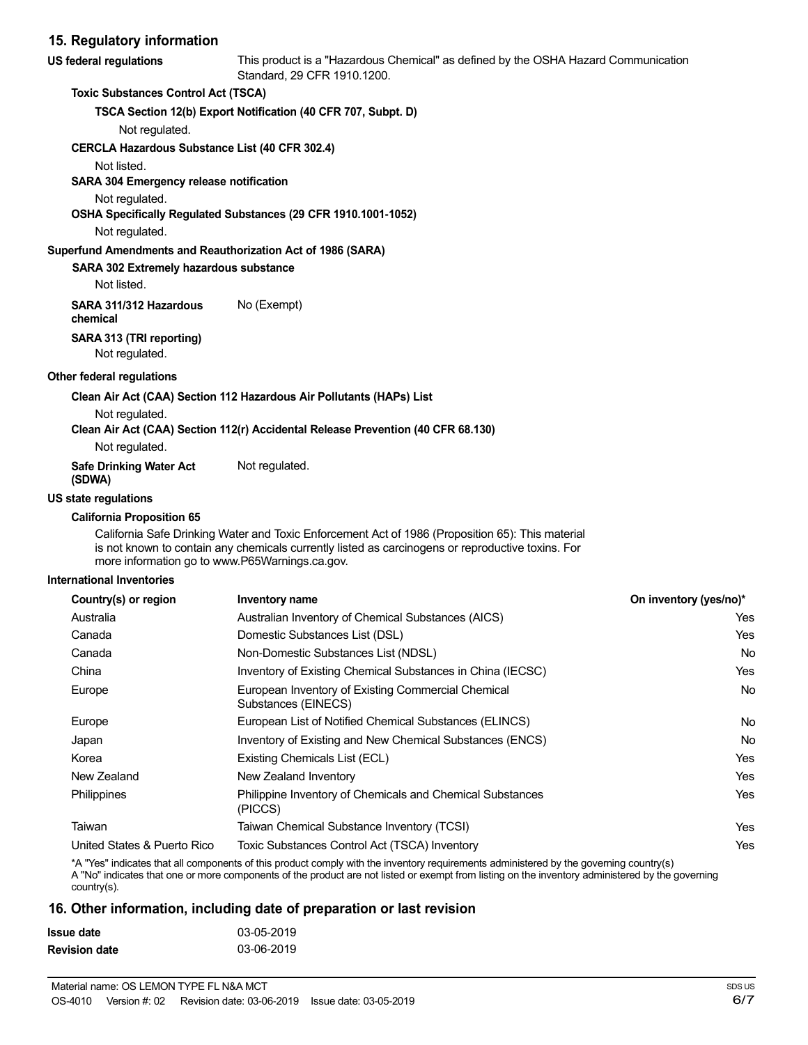# **15. Regulatory information**

| US federal regulations                     | This product is a "Hazardous Chemical" as defined by the OSHA Hazard Communication<br>Standard, 29 CFR 1910.1200. |
|--------------------------------------------|-------------------------------------------------------------------------------------------------------------------|
| <b>Toxic Substances Control Act (TSCA)</b> |                                                                                                                   |

**TSCA Section 12(b) Export Notification (40 CFR 707, Subpt. D)**

Not regulated.

#### **CERCLA Hazardous Substance List (40 CFR 302.4)**

Not listed.

#### **SARA 304 Emergency release notification**

Not regulated.

#### **OSHA Specifically Regulated Substances (29 CFR 1910.1001-1052)**

Not regulated.

#### **Superfund Amendments and Reauthorization Act of 1986 (SARA)**

#### **SARA 302 Extremely hazardous substance**

Not listed.

**SARA 311/312 Hazardous** No (Exempt) **chemical**

#### **SARA 313 (TRI reporting)**

Not regulated.

#### **Other federal regulations**

#### **Clean Air Act (CAA) Section 112 Hazardous Air Pollutants (HAPs) List**

Not regulated.

#### **Clean Air Act (CAA) Section 112(r) Accidental Release Prevention (40 CFR 68.130)**

Not regulated.

| <b>Safe Drinking Water Act</b> | Not regulated. |
|--------------------------------|----------------|
| (SDWA)                         |                |

# **US state regulations**

#### **California Proposition 65**

California Safe Drinking Water and Toxic Enforcement Act of 1986 (Proposition 65): This material is not known to contain any chemicals currently listed as carcinogens or reproductive toxins. For more information go to www.P65Warnings.ca.gov.

#### **International Inventories**

| Country(s) or region        | Inventory name                                                            | On inventory (yes/no)* |
|-----------------------------|---------------------------------------------------------------------------|------------------------|
| Australia                   | Australian Inventory of Chemical Substances (AICS)                        | Yes                    |
| Canada                      | Domestic Substances List (DSL)                                            | Yes                    |
| Canada                      | Non-Domestic Substances List (NDSL)                                       | No.                    |
| China                       | Inventory of Existing Chemical Substances in China (IECSC)                | Yes                    |
| Europe                      | European Inventory of Existing Commercial Chemical<br>Substances (EINECS) | No.                    |
| Europe                      | European List of Notified Chemical Substances (ELINCS)                    | No                     |
| Japan                       | Inventory of Existing and New Chemical Substances (ENCS)                  | <b>No</b>              |
| Korea                       | Existing Chemicals List (ECL)                                             | Yes                    |
| New Zealand                 | New Zealand Inventory                                                     | Yes                    |
| <b>Philippines</b>          | Philippine Inventory of Chemicals and Chemical Substances<br>(PICCS)      | Yes                    |
| Taiwan                      | Taiwan Chemical Substance Inventory (TCSI)                                | Yes                    |
| United States & Puerto Rico | Toxic Substances Control Act (TSCA) Inventory                             | Yes                    |

\*A "Yes" indicates that all components of this product comply with the inventory requirements administered by the governing country(s)

A "No" indicates that one or more components of the product are not listed or exempt from listing on the inventory administered by the governing country(s).

# **16. Other information, including date of preparation or last revision**

| Issue date           | 03-05-2019 |
|----------------------|------------|
| <b>Revision date</b> | 03-06-2019 |